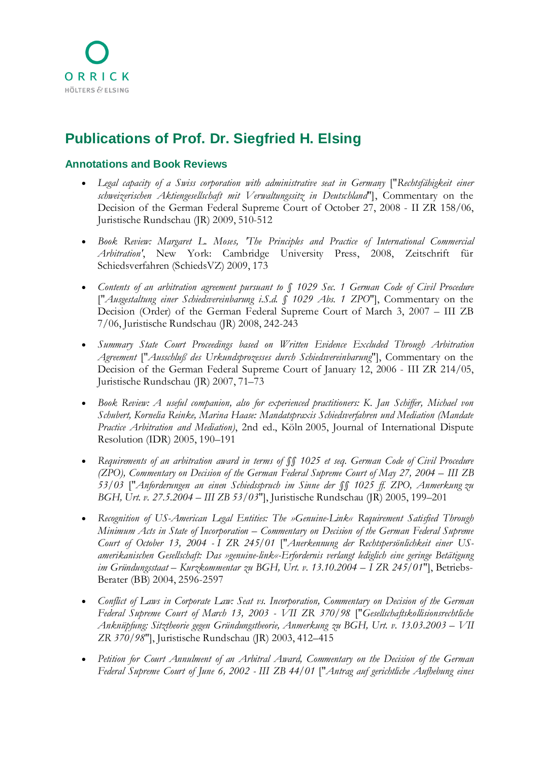## **Publications of Prof. Dr. Siegfried H. Elsing**

## **Annotations and Book Reviews**

- *Legal capacity of a Swiss corporation with administrative seat in Germany* ["*Rechtsfähigkeit einer schweizerischen Aktiengesellschaft mit Verwaltungssitz in Deutschland*"], Commentary on the Decision of the German Federal Supreme Court of October 27, 2008 - II ZR 158/06, Juristische Rundschau (JR) 2009, 510-512
- *Book Review: Margaret L. Moses, 'The Principles and Practice of International Commercial Arbitration'*, New York: Cambridge University Press, 2008, Zeitschrift für Schiedsverfahren (SchiedsVZ) 2009, 173
- *Contents of an arbitration agreement pursuant to § 1029 Sec. 1 German Code of Civil Procedure* ["*Ausgestaltung einer Schiedsvereinbarung i.S.d. § 1029 Abs. 1 ZPO*"], Commentary on the Decision (Order) of the German Federal Supreme Court of March 3, 2007 – III ZB 7/06, Juristische Rundschau (JR) 2008, 242-243
- *Summary State Court Proceedings based on Written Evidence Excluded Through Arbitration Agreement* ["*Ausschluß des Urkundsprozesses durch Schiedsvereinbarung*"], Commentary on the Decision of the German Federal Supreme Court of January 12, 2006 - III ZR 214/05, Juristische Rundschau (JR) 2007, 71–73
- *Book Review: A useful companion, also for experienced practitioners: K. Jan Schiffer, Michael von Schubert, Kornelia Reinke, Marina Haase: Mandatspraxis Schiedsverfahren und Mediation (Mandate Practice Arbitration and Mediation)*, 2nd ed., Köln 2005, Journal of International Dispute Resolution (IDR) 2005, 190–191
- *Requirements of an arbitration award in terms of §§ 1025 et seq. German Code of Civil Procedure (ZPO), Commentary on Decision of the German Federal Supreme Court of May 27, 2004 – III ZB 53/03* ["*Anforderungen an einen Schiedsspruch im Sinne der §§ 1025 ff. ZPO, Anmerkung zu BGH, Urt. v. 27.5.2004 – III ZB 53/03*"], Juristische Rundschau (JR) 2005, 199–201
- *Recognition of US-American Legal Entities: The »Genuine-Link« Requirement Satisfied Through Minimum Acts in State of Incorporation – Commentary on Decision of the German Federal Supreme Court of October 13, 2004 - I ZR 245/01* ["*Anerkennung der Rechtspersönlichkeit einer USamerikanischen Gesellschaft: Das »genuine-link«-Erfordernis verlangt lediglich eine geringe Betätigung im Gründungsstaat – Kurzkommentar zu BGH, Urt. v. 13.10.2004 – I ZR 245/01*"], Betriebs-Berater (BB) 2004, 2596-2597
- *Conflict of Laws in Corporate Law: Seat vs. Incorporation, Commentary on Decision of the German Federal Supreme Court of March 13, 2003 - VII ZR 370/98* ["*Gesellschaftskollisionsrechtliche Anknüpfung: Sitztheorie gegen Gründungstheorie, Anmerkung zu BGH, Urt. v. 13.03.2003 – VII ZR 370/98*"], Juristische Rundschau (JR) 2003, 412–415
- *Petition for Court Annulment of an Arbitral Award, Commentary on the Decision of the German Federal Supreme Court of June 6, 2002 - III ZB 44/01* ["*Antrag auf gerichtliche Aufhebung eines*